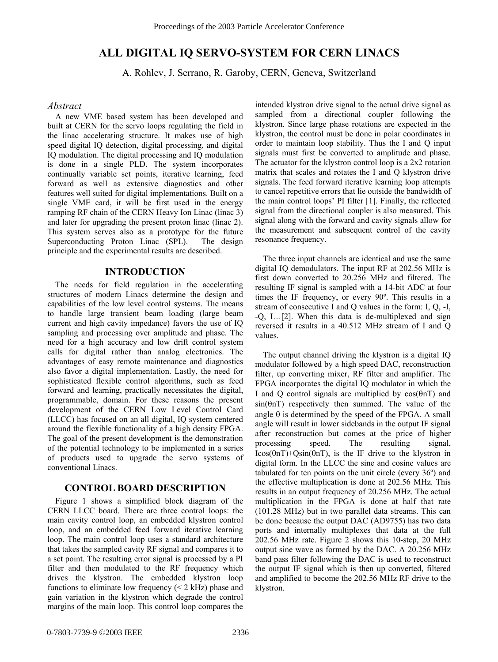# **ALL DIGITAL IQ SERVO-SYSTEM FOR CERN LINACS**

A. Rohlev, J. Serrano, R. Garoby, CERN, Geneva, Switzerland

### *Abstract*

A new VME based system has been developed and built at CERN for the servo loops regulating the field in the linac accelerating structure. It makes use of high speed digital IQ detection, digital processing, and digital IQ modulation. The digital processing and IQ modulation is done in a single PLD. The system incorporates continually variable set points, iterative learning, feed forward as well as extensive diagnostics and other features well suited for digital implementations. Built on a single VME card, it will be first used in the energy ramping RF chain of the CERN Heavy Ion Linac (linac 3) and later for upgrading the present proton linac (linac 2). This system serves also as a prototype for the future Superconducting Proton Linac (SPL). The design principle and the experimental results are described.

## **INTRODUCTION**

The needs for field regulation in the accelerating structures of modern Linacs determine the design and capabilities of the low level control systems. The means to handle large transient beam loading (large beam current and high cavity impedance) favors the use of IQ sampling and processing over amplitude and phase. The need for a high accuracy and low drift control system calls for digital rather than analog electronics. The advantages of easy remote maintenance and diagnostics also favor a digital implementation. Lastly, the need for sophisticated flexible control algorithms, such as feed forward and learning, practically necessitates the digital, programmable, domain. For these reasons the present development of the CERN Low Level Control Card (LLCC) has focused on an all digital, IQ system centered around the flexible functionality of a high density FPGA. The goal of the present development is the demonstration of the potential technology to be implemented in a series of products used to upgrade the servo systems of conventional Linacs.

# **CONTROL BOARD DESCRIPTION**

Figure 1 shows a simplified block diagram of the CERN LLCC board. There are three control loops: the main cavity control loop, an embedded klystron control loop, and an embedded feed forward iterative learning loop. The main control loop uses a standard architecture that takes the sampled cavity RF signal and compares it to a set point. The resulting error signal is processed by a PI filter and then modulated to the RF frequency which drives the klystron. The embedded klystron loop functions to eliminate low frequency  $(< 2$  kHz) phase and gain variation in the klystron which degrade the control margins of the main loop. This control loop compares the

intended klystron drive signal to the actual drive signal as sampled from a directional coupler following the klystron. Since large phase rotations are expected in the klystron, the control must be done in polar coordinates in order to maintain loop stability. Thus the I and Q input signals must first be converted to amplitude and phase. The actuator for the klystron control loop is a 2x2 rotation matrix that scales and rotates the I and Q klystron drive signals. The feed forward iterative learning loop attempts to cancel repetitive errors that lie outside the bandwidth of the main control loops' PI filter [1]. Finally, the reflected signal from the directional coupler is also measured. This signal along with the forward and cavity signals allow for the measurement and subsequent control of the cavity resonance frequency.

The three input channels are identical and use the same digital IQ demodulators. The input RF at 202.56 MHz is first down converted to 20.256 MHz and filtered. The resulting IF signal is sampled with a 14-bit ADC at four times the IF frequency, or every 90º. This results in a stream of consecutive I and Q values in the form: I, Q, -I,  $-Q$ , I $\ldots$ [2]. When this data is de-multiplexed and sign reversed it results in a 40.512 MHz stream of I and Q values.

The output channel driving the klystron is a digital IQ modulator followed by a high speed DAC, reconstruction filter, up converting mixer, RF filter and amplifier. The FPGA incorporates the digital IQ modulator in which the I and Q control signals are multiplied by cos(θnT) and  $sin(\theta nT)$  respectively then summed. The value of the angle  $\theta$  is determined by the speed of the FPGA. A small angle will result in lower sidebands in the output IF signal after reconstruction but comes at the price of higher processing speed. The resulting signal, Icos(θnT)+Qsin(θnT), is the IF drive to the klystron in digital form. In the LLCC the sine and cosine values are tabulated for ten points on the unit circle (every 36º) and the effective multiplication is done at 202.56 MHz. This results in an output frequency of 20.256 MHz. The actual multiplication in the FPGA is done at half that rate (101.28 MHz) but in two parallel data streams. This can be done because the output DAC (AD9755) has two data ports and internally multiplexes that data at the full 202.56 MHz rate. Figure 2 shows this 10-step, 20 MHz output sine wave as formed by the DAC. A 20.256 MHz band pass filter following the DAC is used to reconstruct the output IF signal which is then up converted, filtered and amplified to become the 202.56 MHz RF drive to the klystron.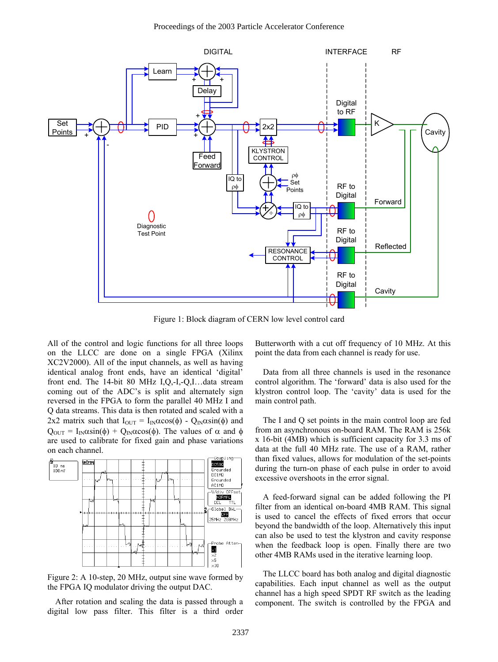

Figure 1: Block diagram of CERN low level control card

All of the control and logic functions for all three loops on the LLCC are done on a single FPGA (Xilinx XC2V2000). All of the input channels, as well as having identical analog front ends, have an identical 'digital' front end. The 14-bit 80 MHz I,Q,-I,-Q,I $\ldots$ data stream coming out of the ADC's is split and alternately sign reversed in the FPGA to form the parallel 40 MHz I and Q data streams. This data is then rotated and scaled with a 2x2 matrix such that  $I_{\text{OUT}} = I_{\text{IN}}\alpha\cos(\phi) - Q_{\text{IN}}\alpha\sin(\phi)$  and  $Q_{\text{OUT}} = I_{\text{IN}} \alpha \sin(\phi) + Q_{\text{IN}} \alpha \cos(\phi)$ . The values of  $\alpha$  and  $\phi$ are used to calibrate for fixed gain and phase variations on each channel.



Figure 2: A 10-step, 20 MHz, output sine wave formed by the FPGA IQ modulator driving the output DAC.

After rotation and scaling the data is passed through a digital low pass filter. This filter is a third order

Butterworth with a cut off frequency of 10 MHz. At this point the data from each channel is ready for use.

Data from all three channels is used in the resonance control algorithm. The 'forward' data is also used for the klystron control loop. The 'cavity' data is used for the main control path.

The I and Q set points in the main control loop are fed from an asynchronous on-board RAM. The RAM is 256k x 16-bit (4MB) which is sufficient capacity for 3.3 ms of data at the full 40 MHz rate. The use of a RAM, rather than fixed values, allows for modulation of the set-points during the turn-on phase of each pulse in order to avoid excessive overshoots in the error signal.

A feed-forward signal can be added following the PI filter from an identical on-board 4MB RAM. This signal is used to cancel the effects of fixed errors that occur beyond the bandwidth of the loop. Alternatively this input can also be used to test the klystron and cavity response when the feedback loop is open. Finally there are two other 4MB RAMs used in the iterative learning loop.

The LLCC board has both analog and digital diagnostic capabilities. Each input channel as well as the output channel has a high speed SPDT RF switch as the leading component. The switch is controlled by the FPGA and